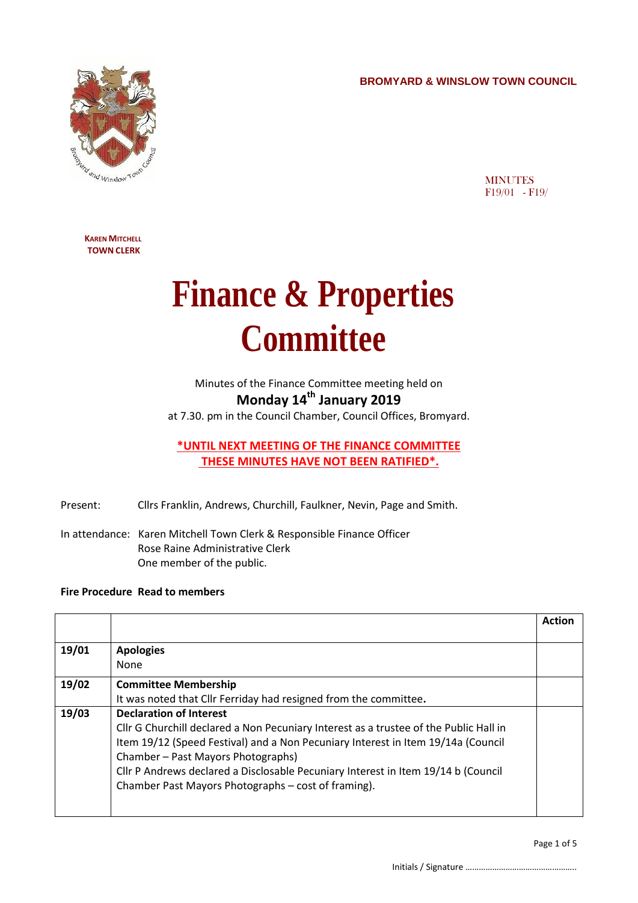**BROMYARD & WINSLOW TOWN COUNCIL**



**MINUTES** F19/01 - F19/

**KAREN MITCHELL TOWN CLERK**

## **Finance & Properties Committee**

Minutes of the Finance Committee meeting held on **Monday 14th January 2019**

at 7.30. pm in the Council Chamber, Council Offices, Bromyard.

**\*UNTIL NEXT MEETING OF THE FINANCE COMMITTEE THESE MINUTES HAVE NOT BEEN RATIFIED\*.**

Present: Cllrs Franklin, Andrews, Churchill, Faulkner, Nevin, Page and Smith.

In attendance: Karen Mitchell Town Clerk & Responsible Finance Officer Rose Raine Administrative Clerk One member of the public.

## **Fire Procedure Read to members**

|       |                                                                                       | <b>Action</b> |
|-------|---------------------------------------------------------------------------------------|---------------|
|       |                                                                                       |               |
| 19/01 | <b>Apologies</b>                                                                      |               |
|       | None                                                                                  |               |
| 19/02 | <b>Committee Membership</b>                                                           |               |
|       | It was noted that Cllr Ferriday had resigned from the committee.                      |               |
| 19/03 | <b>Declaration of Interest</b>                                                        |               |
|       | Cllr G Churchill declared a Non Pecuniary Interest as a trustee of the Public Hall in |               |
|       | Item 19/12 (Speed Festival) and a Non Pecuniary Interest in Item 19/14a (Council      |               |
|       | Chamber - Past Mayors Photographs)                                                    |               |
|       | Cllr P Andrews declared a Disclosable Pecuniary Interest in Item 19/14 b (Council     |               |
|       | Chamber Past Mayors Photographs – cost of framing).                                   |               |
|       |                                                                                       |               |
|       |                                                                                       |               |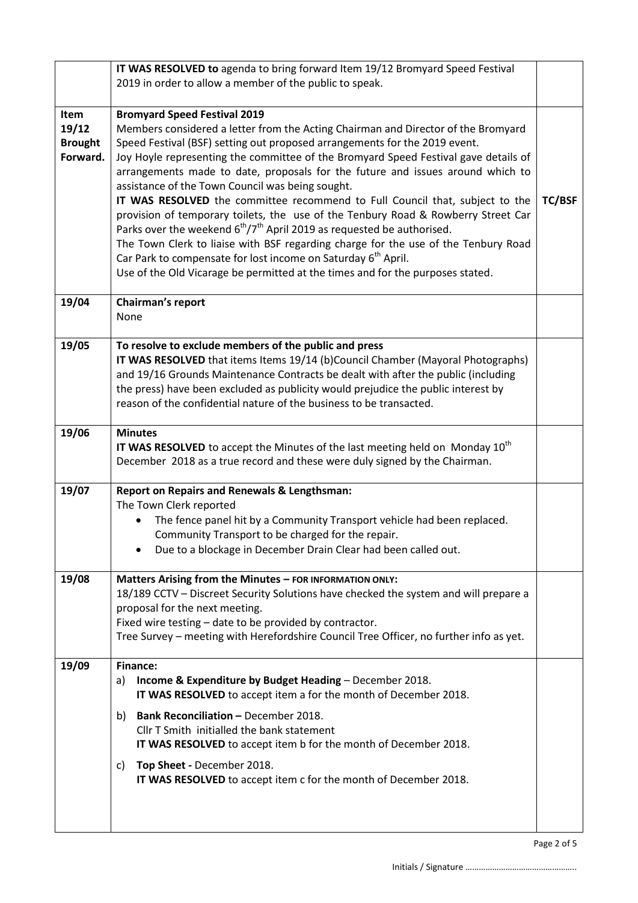|                                             | IT WAS RESOLVED to agenda to bring forward Item 19/12 Bromyard Speed Festival                                                                                                                                                                                                                                                                                                                                                                                                                                                                                                                                                                                                             |  |
|---------------------------------------------|-------------------------------------------------------------------------------------------------------------------------------------------------------------------------------------------------------------------------------------------------------------------------------------------------------------------------------------------------------------------------------------------------------------------------------------------------------------------------------------------------------------------------------------------------------------------------------------------------------------------------------------------------------------------------------------------|--|
|                                             | 2019 in order to allow a member of the public to speak.                                                                                                                                                                                                                                                                                                                                                                                                                                                                                                                                                                                                                                   |  |
|                                             |                                                                                                                                                                                                                                                                                                                                                                                                                                                                                                                                                                                                                                                                                           |  |
| Item<br>19/12<br><b>Brought</b><br>Forward. | <b>Bromyard Speed Festival 2019</b><br>Members considered a letter from the Acting Chairman and Director of the Bromyard<br>Speed Festival (BSF) setting out proposed arrangements for the 2019 event.<br>Joy Hoyle representing the committee of the Bromyard Speed Festival gave details of<br>arrangements made to date, proposals for the future and issues around which to<br>assistance of the Town Council was being sought.<br>IT WAS RESOLVED the committee recommend to Full Council that, subject to the<br>provision of temporary toilets, the use of the Tenbury Road & Rowberry Street Car<br>Parks over the weekend $6^{th}/7^{th}$ April 2019 as requested be authorised. |  |
|                                             | The Town Clerk to liaise with BSF regarding charge for the use of the Tenbury Road<br>Car Park to compensate for lost income on Saturday 6 <sup>th</sup> April.<br>Use of the Old Vicarage be permitted at the times and for the purposes stated.                                                                                                                                                                                                                                                                                                                                                                                                                                         |  |
| 19/04                                       | Chairman's report<br>None                                                                                                                                                                                                                                                                                                                                                                                                                                                                                                                                                                                                                                                                 |  |
| 19/05                                       | To resolve to exclude members of the public and press                                                                                                                                                                                                                                                                                                                                                                                                                                                                                                                                                                                                                                     |  |
|                                             | IT WAS RESOLVED that items Items 19/14 (b)Council Chamber (Mayoral Photographs)<br>and 19/16 Grounds Maintenance Contracts be dealt with after the public (including                                                                                                                                                                                                                                                                                                                                                                                                                                                                                                                      |  |
|                                             | the press) have been excluded as publicity would prejudice the public interest by                                                                                                                                                                                                                                                                                                                                                                                                                                                                                                                                                                                                         |  |
|                                             | reason of the confidential nature of the business to be transacted.                                                                                                                                                                                                                                                                                                                                                                                                                                                                                                                                                                                                                       |  |
| 19/06                                       | <b>Minutes</b>                                                                                                                                                                                                                                                                                                                                                                                                                                                                                                                                                                                                                                                                            |  |
|                                             | IT WAS RESOLVED to accept the Minutes of the last meeting held on Monday 10 <sup>th</sup><br>December 2018 as a true record and these were duly signed by the Chairman.                                                                                                                                                                                                                                                                                                                                                                                                                                                                                                                   |  |
| 19/07                                       | <b>Report on Repairs and Renewals &amp; Lengthsman:</b>                                                                                                                                                                                                                                                                                                                                                                                                                                                                                                                                                                                                                                   |  |
|                                             | The Town Clerk reported<br>The fence panel hit by a Community Transport vehicle had been replaced.                                                                                                                                                                                                                                                                                                                                                                                                                                                                                                                                                                                        |  |
|                                             | Community Transport to be charged for the repair.                                                                                                                                                                                                                                                                                                                                                                                                                                                                                                                                                                                                                                         |  |
|                                             | Due to a blockage in December Drain Clear had been called out.                                                                                                                                                                                                                                                                                                                                                                                                                                                                                                                                                                                                                            |  |
| 19/08                                       | Matters Arising from the Minutes - FOR INFORMATION ONLY:                                                                                                                                                                                                                                                                                                                                                                                                                                                                                                                                                                                                                                  |  |
|                                             | 18/189 CCTV - Discreet Security Solutions have checked the system and will prepare a<br>proposal for the next meeting.                                                                                                                                                                                                                                                                                                                                                                                                                                                                                                                                                                    |  |
|                                             | Fixed wire testing - date to be provided by contractor.                                                                                                                                                                                                                                                                                                                                                                                                                                                                                                                                                                                                                                   |  |
|                                             | Tree Survey - meeting with Herefordshire Council Tree Officer, no further info as yet.                                                                                                                                                                                                                                                                                                                                                                                                                                                                                                                                                                                                    |  |
| 19/09                                       | <b>Finance:</b>                                                                                                                                                                                                                                                                                                                                                                                                                                                                                                                                                                                                                                                                           |  |
|                                             | Income & Expenditure by Budget Heading - December 2018.<br>a)<br>IT WAS RESOLVED to accept item a for the month of December 2018.                                                                                                                                                                                                                                                                                                                                                                                                                                                                                                                                                         |  |
|                                             | <b>Bank Reconciliation - December 2018.</b><br>b)                                                                                                                                                                                                                                                                                                                                                                                                                                                                                                                                                                                                                                         |  |
|                                             | Cllr T Smith initialled the bank statement                                                                                                                                                                                                                                                                                                                                                                                                                                                                                                                                                                                                                                                |  |
|                                             | IT WAS RESOLVED to accept item b for the month of December 2018.                                                                                                                                                                                                                                                                                                                                                                                                                                                                                                                                                                                                                          |  |
|                                             | Top Sheet - December 2018.<br>C)<br>IT WAS RESOLVED to accept item c for the month of December 2018.                                                                                                                                                                                                                                                                                                                                                                                                                                                                                                                                                                                      |  |
|                                             |                                                                                                                                                                                                                                                                                                                                                                                                                                                                                                                                                                                                                                                                                           |  |
|                                             |                                                                                                                                                                                                                                                                                                                                                                                                                                                                                                                                                                                                                                                                                           |  |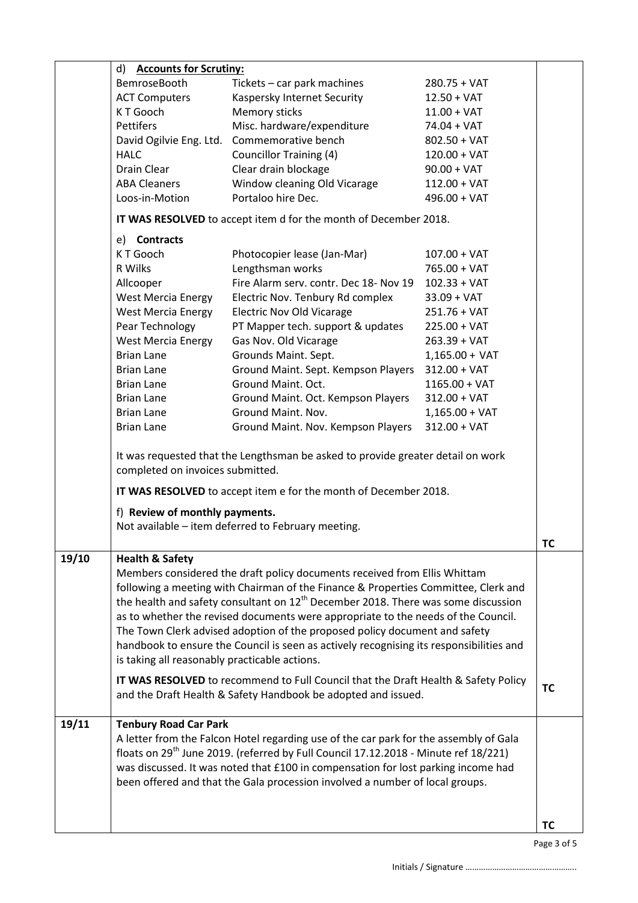|       | d) Accounts for Scrutiny:                                        |                                                                                                                                                     |                  |           |
|-------|------------------------------------------------------------------|-----------------------------------------------------------------------------------------------------------------------------------------------------|------------------|-----------|
|       | BemroseBooth                                                     | Tickets - car park machines                                                                                                                         | $280.75 + VAT$   |           |
|       | <b>ACT Computers</b>                                             | Kaspersky Internet Security                                                                                                                         | $12.50 + VAT$    |           |
|       | K T Gooch                                                        | Memory sticks                                                                                                                                       | $11.00 + VAT$    |           |
|       | Pettifers                                                        | Misc. hardware/expenditure                                                                                                                          | $74.04 + VAT$    |           |
|       |                                                                  | David Ogilvie Eng. Ltd. Commemorative bench                                                                                                         | $802.50 + VAT$   |           |
|       | <b>HALC</b>                                                      | <b>Councillor Training (4)</b>                                                                                                                      | $120.00 + VAT$   |           |
|       | Drain Clear                                                      | Clear drain blockage                                                                                                                                | $90.00 + VAT$    |           |
|       | <b>ABA Cleaners</b>                                              | Window cleaning Old Vicarage                                                                                                                        | $112.00 + VAT$   |           |
|       | Loos-in-Motion                                                   | Portaloo hire Dec.                                                                                                                                  | $496.00 + VAT$   |           |
|       | IT WAS RESOLVED to accept item d for the month of December 2018. |                                                                                                                                                     |                  |           |
|       | e) Contracts                                                     |                                                                                                                                                     |                  |           |
|       | K T Gooch                                                        | Photocopier lease (Jan-Mar)                                                                                                                         | $107.00 + VAT$   |           |
|       | R Wilks                                                          | Lengthsman works                                                                                                                                    | $765.00 + VAT$   |           |
|       | Allcooper                                                        | Fire Alarm serv. contr. Dec 18- Nov 19                                                                                                              | $102.33 + VAT$   |           |
|       | West Mercia Energy                                               | Electric Nov. Tenbury Rd complex                                                                                                                    | $33.09 + VAT$    |           |
|       | <b>West Mercia Energy</b>                                        | <b>Electric Nov Old Vicarage</b>                                                                                                                    | $251.76 + VAT$   |           |
|       | Pear Technology                                                  | PT Mapper tech. support & updates                                                                                                                   | $225.00 + VAT$   |           |
|       | <b>West Mercia Energy</b>                                        | Gas Nov. Old Vicarage                                                                                                                               | $263.39 + VAT$   |           |
|       | <b>Brian Lane</b>                                                | Grounds Maint. Sept.                                                                                                                                | $1,165.00 + VAT$ |           |
|       | <b>Brian Lane</b>                                                | Ground Maint. Sept. Kempson Players                                                                                                                 | $312.00 + VAT$   |           |
|       | <b>Brian Lane</b>                                                | Ground Maint. Oct.                                                                                                                                  | $1165.00 + VAT$  |           |
|       | <b>Brian Lane</b>                                                | Ground Maint. Oct. Kempson Players                                                                                                                  | $312.00 + VAT$   |           |
|       | <b>Brian Lane</b>                                                | Ground Maint. Nov.                                                                                                                                  | $1,165.00 + VAT$ |           |
|       | <b>Brian Lane</b>                                                | Ground Maint. Nov. Kempson Players                                                                                                                  | $312.00 + VAT$   |           |
|       | completed on invoices submitted.                                 | It was requested that the Lengthsman be asked to provide greater detail on work                                                                     |                  |           |
|       |                                                                  | IT WAS RESOLVED to accept item e for the month of December 2018.                                                                                    |                  |           |
|       | f) Review of monthly payments.                                   |                                                                                                                                                     |                  |           |
|       |                                                                  | Not available - item deferred to February meeting.                                                                                                  |                  |           |
|       |                                                                  |                                                                                                                                                     |                  |           |
|       |                                                                  |                                                                                                                                                     |                  | TС        |
| 19/10 | <b>Health &amp; Safety</b>                                       | Members considered the draft policy documents received from Ellis Whittam                                                                           |                  |           |
|       |                                                                  | following a meeting with Chairman of the Finance & Properties Committee, Clerk and                                                                  |                  |           |
|       |                                                                  | the health and safety consultant on $12^{th}$ December 2018. There was some discussion                                                              |                  |           |
|       |                                                                  | as to whether the revised documents were appropriate to the needs of the Council.                                                                   |                  |           |
|       |                                                                  | The Town Clerk advised adoption of the proposed policy document and safety                                                                          |                  |           |
|       |                                                                  | handbook to ensure the Council is seen as actively recognising its responsibilities and                                                             |                  |           |
|       | is taking all reasonably practicable actions.                    |                                                                                                                                                     |                  |           |
|       |                                                                  |                                                                                                                                                     |                  |           |
|       |                                                                  | IT WAS RESOLVED to recommend to Full Council that the Draft Health & Safety Policy<br>and the Draft Health & Safety Handbook be adopted and issued. |                  | ТC        |
|       |                                                                  |                                                                                                                                                     |                  |           |
| 19/11 | <b>Tenbury Road Car Park</b>                                     |                                                                                                                                                     |                  |           |
|       |                                                                  | A letter from the Falcon Hotel regarding use of the car park for the assembly of Gala                                                               |                  |           |
|       |                                                                  | floats on 29 <sup>th</sup> June 2019. (referred by Full Council 17.12.2018 - Minute ref 18/221)                                                     |                  |           |
|       |                                                                  | was discussed. It was noted that £100 in compensation for lost parking income had                                                                   |                  |           |
|       |                                                                  | been offered and that the Gala procession involved a number of local groups.                                                                        |                  |           |
|       |                                                                  |                                                                                                                                                     |                  |           |
|       |                                                                  |                                                                                                                                                     |                  |           |
|       |                                                                  |                                                                                                                                                     |                  | <b>TC</b> |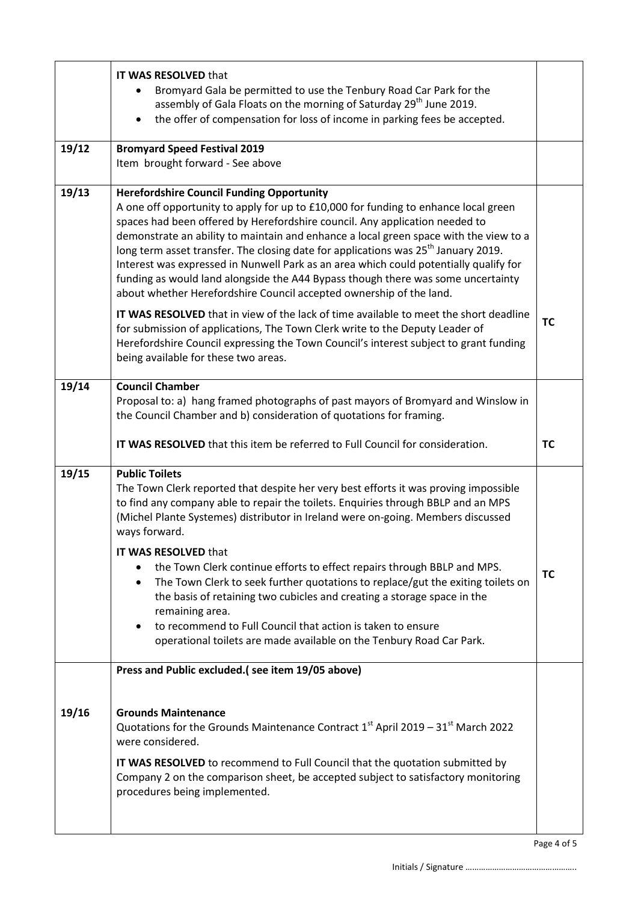|       | IT WAS RESOLVED that<br>Bromyard Gala be permitted to use the Tenbury Road Car Park for the<br>assembly of Gala Floats on the morning of Saturday 29 <sup>th</sup> June 2019.<br>the offer of compensation for loss of income in parking fees be accepted.                                                                                                                                                                                                                                                                                                                                                                                                            |           |
|-------|-----------------------------------------------------------------------------------------------------------------------------------------------------------------------------------------------------------------------------------------------------------------------------------------------------------------------------------------------------------------------------------------------------------------------------------------------------------------------------------------------------------------------------------------------------------------------------------------------------------------------------------------------------------------------|-----------|
| 19/12 | <b>Bromyard Speed Festival 2019</b><br>Item brought forward - See above                                                                                                                                                                                                                                                                                                                                                                                                                                                                                                                                                                                               |           |
| 19/13 | <b>Herefordshire Council Funding Opportunity</b><br>A one off opportunity to apply for up to £10,000 for funding to enhance local green<br>spaces had been offered by Herefordshire council. Any application needed to<br>demonstrate an ability to maintain and enhance a local green space with the view to a<br>long term asset transfer. The closing date for applications was 25 <sup>th</sup> January 2019.<br>Interest was expressed in Nunwell Park as an area which could potentially qualify for<br>funding as would land alongside the A44 Bypass though there was some uncertainty<br>about whether Herefordshire Council accepted ownership of the land. |           |
|       | IT WAS RESOLVED that in view of the lack of time available to meet the short deadline<br>for submission of applications, The Town Clerk write to the Deputy Leader of<br>Herefordshire Council expressing the Town Council's interest subject to grant funding<br>being available for these two areas.                                                                                                                                                                                                                                                                                                                                                                | <b>TC</b> |
| 19/14 | <b>Council Chamber</b><br>Proposal to: a) hang framed photographs of past mayors of Bromyard and Winslow in<br>the Council Chamber and b) consideration of quotations for framing.                                                                                                                                                                                                                                                                                                                                                                                                                                                                                    |           |
|       | IT WAS RESOLVED that this item be referred to Full Council for consideration.                                                                                                                                                                                                                                                                                                                                                                                                                                                                                                                                                                                         | <b>TC</b> |
| 19/15 | <b>Public Toilets</b><br>The Town Clerk reported that despite her very best efforts it was proving impossible<br>to find any company able to repair the toilets. Enquiries through BBLP and an MPS<br>(Michel Plante Systemes) distributor in Ireland were on-going. Members discussed<br>ways forward.<br>IT WAS RESOLVED that<br>the Town Clerk continue efforts to effect repairs through BBLP and MPS.                                                                                                                                                                                                                                                            | <b>TC</b> |
|       | The Town Clerk to seek further quotations to replace/gut the exiting toilets on<br>$\bullet$<br>the basis of retaining two cubicles and creating a storage space in the<br>remaining area.<br>to recommend to Full Council that action is taken to ensure<br>operational toilets are made available on the Tenbury Road Car Park.                                                                                                                                                                                                                                                                                                                                     |           |
|       | Press and Public excluded.(see item 19/05 above)                                                                                                                                                                                                                                                                                                                                                                                                                                                                                                                                                                                                                      |           |
| 19/16 | <b>Grounds Maintenance</b><br>Quotations for the Grounds Maintenance Contract $1st$ April 2019 – 31 $st$ March 2022<br>were considered.<br>IT WAS RESOLVED to recommend to Full Council that the quotation submitted by                                                                                                                                                                                                                                                                                                                                                                                                                                               |           |
|       | Company 2 on the comparison sheet, be accepted subject to satisfactory monitoring<br>procedures being implemented.                                                                                                                                                                                                                                                                                                                                                                                                                                                                                                                                                    |           |